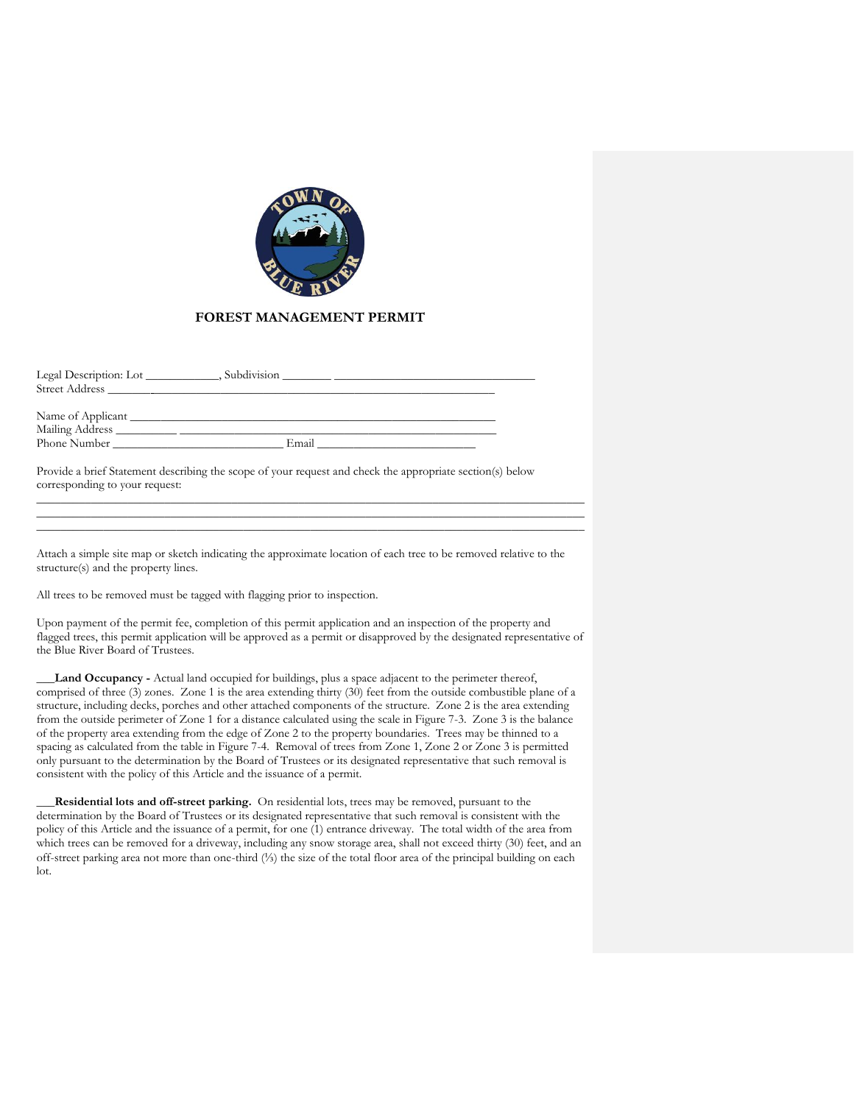

## **FOREST MANAGEMENT PERMIT**

| Legal Description: Lot<br>the company of the company<br>Street Address | Subdivision |  |
|------------------------------------------------------------------------|-------------|--|
| Phone Number <b>Server</b>                                             | Email       |  |
|                                                                        |             |  |

Provide a brief Statement describing the scope of your request and check the appropriate section(s) below corresponding to your request: \_\_\_\_\_\_\_\_\_\_\_\_\_\_\_\_\_\_\_\_\_\_\_\_\_\_\_\_\_\_\_\_\_\_\_\_\_\_\_\_\_\_\_\_\_\_\_\_\_\_\_\_\_\_\_\_\_\_\_\_\_\_\_\_\_\_\_\_\_\_\_\_\_\_\_\_\_\_\_\_\_\_\_\_\_\_\_\_\_\_

Attach a simple site map or sketch indicating the approximate location of each tree to be removed relative to the structure(s) and the property lines.

\_\_\_\_\_\_\_\_\_\_\_\_\_\_\_\_\_\_\_\_\_\_\_\_\_\_\_\_\_\_\_\_\_\_\_\_\_\_\_\_\_\_\_\_\_\_\_\_\_\_\_\_\_\_\_\_\_\_\_\_\_\_\_\_\_\_\_\_\_\_\_\_\_\_\_\_\_\_\_\_\_\_\_\_\_\_\_\_\_\_ \_\_\_\_\_\_\_\_\_\_\_\_\_\_\_\_\_\_\_\_\_\_\_\_\_\_\_\_\_\_\_\_\_\_\_\_\_\_\_\_\_\_\_\_\_\_\_\_\_\_\_\_\_\_\_\_\_\_\_\_\_\_\_\_\_\_\_\_\_\_\_\_\_\_\_\_\_\_\_\_\_\_\_\_\_\_\_\_\_\_

All trees to be removed must be tagged with flagging prior to inspection.

Upon payment of the permit fee, completion of this permit application and an inspection of the property and flagged trees, this permit application will be approved as a permit or disapproved by the designated representative of the Blue River Board of Trustees.

Land Occupancy - Actual land occupied for buildings, plus a space adjacent to the perimeter thereof, comprised of three (3) zones. Zone 1 is the area extending thirty (30) feet from the outside combustible plane of a structure, including decks, porches and other attached components of the structure. Zone 2 is the area extending from the outside perimeter of Zone 1 for a distance calculated using the scale in Figure 7-3. Zone 3 is the balance of the property area extending from the edge of Zone 2 to the property boundaries. Trees may be thinned to a spacing as calculated from the table in Figure 7-4. Removal of trees from Zone 1, Zone 2 or Zone 3 is permitted only pursuant to the determination by the Board of Trustees or its designated representative that such removal is consistent with the policy of this Article and the issuance of a permit.

**\_\_\_Residential lots and off-street parking.** On residential lots, trees may be removed, pursuant to the determination by the Board of Trustees or its designated representative that such removal is consistent with the policy of this Article and the issuance of a permit, for one (1) entrance driveway. The total width of the area from which trees can be removed for a driveway, including any snow storage area, shall not exceed thirty (30) feet, and an off-street parking area not more than one-third (⅓) the size of the total floor area of the principal building on each lot.